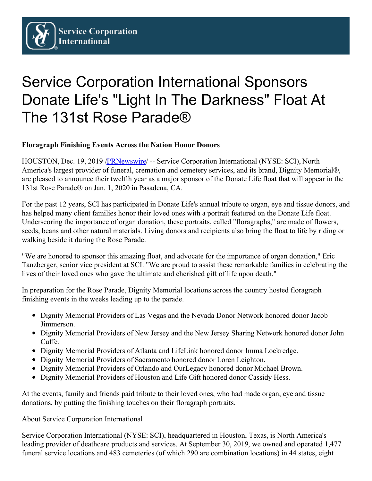## Service Corporation International Sponsors Donate Life's "Light In The Darkness" Float At The 131st Rose Parade®

## **Floragraph Finishing Events Across the Nation Honor Donors**

HOUSTON, Dec. 19, 2019 [/PRNewswire](http://www.prnewswire.com/)/ -- Service Corporation International (NYSE: SCI), North America's largest provider of funeral, cremation and cemetery services, and its brand, Dignity Memorial®, are pleased to announce their twelfth year as a major sponsor of the Donate Life float that will appear in the 131st Rose Parade® on Jan. 1, 2020 in Pasadena, CA.

For the past 12 years, SCI has participated in Donate Life's annual tribute to organ, eye and tissue donors, and has helped many client families honor their loved ones with a portrait featured on the Donate Life float. Underscoring the importance of organ donation, these portraits, called "floragraphs," are made of flowers, seeds, beans and other natural materials. Living donors and recipients also bring the float to life by riding or walking beside it during the Rose Parade.

"We are honored to sponsor this amazing float, and advocate for the importance of organ donation," Eric Tanzberger, senior vice president at SCI. "We are proud to assist these remarkable families in celebrating the lives of their loved ones who gave the ultimate and cherished gift of life upon death."

In preparation for the Rose Parade, Dignity Memorial locations across the country hosted floragraph finishing events in the weeks leading up to the parade.

- Dignity Memorial Providers of Las Vegas and the Nevada Donor Network honored donor Jacob Jimmerson.
- Dignity Memorial Providers of New Jersey and the New Jersey Sharing Network honored donor John Cuffe.
- Dignity Memorial Providers of Atlanta and LifeLink honored donor Imma Lockredge.
- Dignity Memorial Providers of Sacramento honored donor Loren Leighton.
- Dignity Memorial Providers of Orlando and OurLegacy honored donor Michael Brown.
- Dignity Memorial Providers of Houston and Life Gift honored donor Cassidy Hess.

At the events, family and friends paid tribute to their loved ones, who had made organ, eye and tissue donations, by putting the finishing touches on their floragraph portraits.

About Service Corporation International

Service Corporation International (NYSE: SCI), headquartered in Houston, Texas, is North America's leading provider of deathcare products and services. At September 30, 2019, we owned and operated 1,477 funeral service locations and 483 cemeteries (of which 290 are combination locations) in 44 states, eight